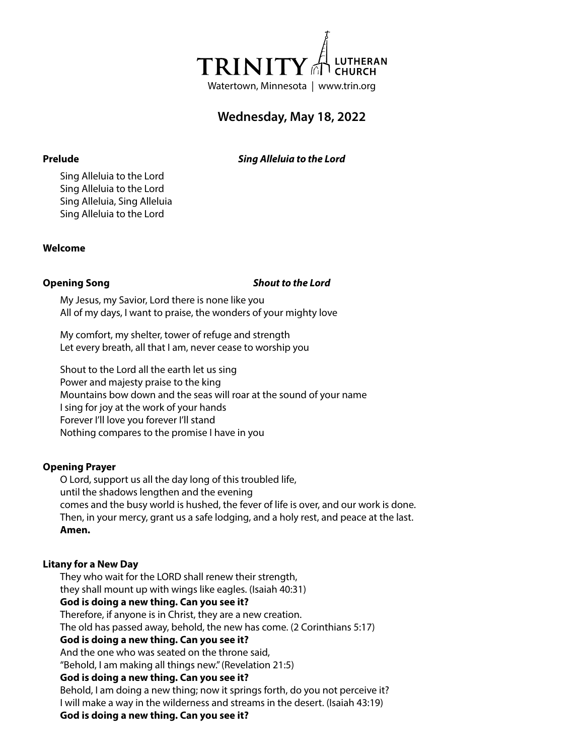

# **Wednesday, May 18, 2022**

### **Prelude** *Sing Alleluia to the Lord*

Sing Alleluia to the Lord Sing Alleluia to the Lord Sing Alleluia, Sing Alleluia Sing Alleluia to the Lord

### **Welcome**

#### **Opening Song** *Shout to the Lord*

My Jesus, my Savior, Lord there is none like you All of my days, I want to praise, the wonders of your mighty love

My comfort, my shelter, tower of refuge and strength Let every breath, all that I am, never cease to worship you

Shout to the Lord all the earth let us sing Power and majesty praise to the king Mountains bow down and the seas will roar at the sound of your name I sing for joy at the work of your hands Forever I'll love you forever I'll stand Nothing compares to the promise I have in you

### **Opening Prayer**

O Lord, support us all the day long of this troubled life, until the shadows lengthen and the evening comes and the busy world is hushed, the fever of life is over, and our work is done. Then, in your mercy, grant us a safe lodging, and a holy rest, and peace at the last. **Amen.**

# **Litany for a New Day**

They who wait for the LORD shall renew their strength, they shall mount up with wings like eagles. (Isaiah 40:31) **God is doing a new thing. Can you see it?** Therefore, if anyone is in Christ, they are a new creation. The old has passed away, behold, the new has come. (2 Corinthians 5:17) **God is doing a new thing. Can you see it?** And the one who was seated on the throne said, "Behold, I am making all things new." (Revelation 21:5) **God is doing a new thing. Can you see it?** Behold, I am doing a new thing; now it springs forth, do you not perceive it? I will make a way in the wilderness and streams in the desert. (Isaiah 43:19) **God is doing a new thing. Can you see it?**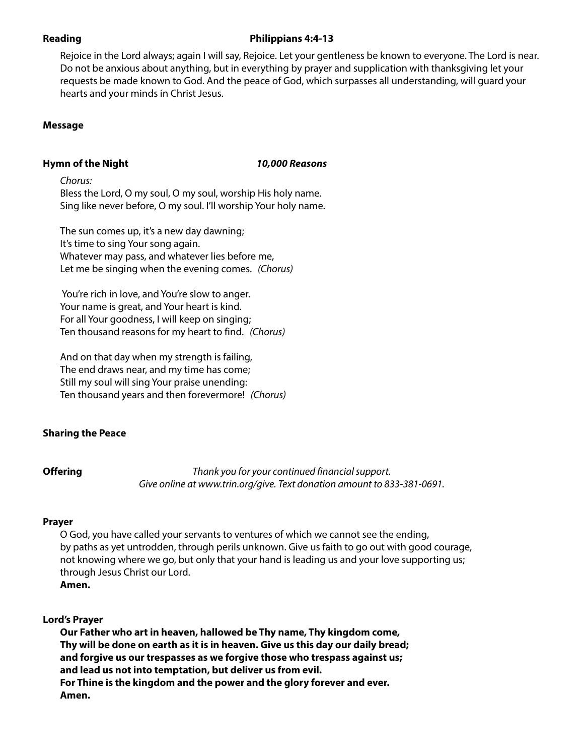# **Reading Philippians 4:4-13**

Rejoice in the Lord always; again I will say, Rejoice. Let your gentleness be known to everyone. The Lord is near. Do not be anxious about anything, but in everything by prayer and supplication with thanksgiving let your requests be made known to God. And the peace of God, which surpasses all understanding, will guard your hearts and your minds in Christ Jesus.

# **Message**

# **Hymn of the Night** *10,000 Reasons*

*Chorus:* Bless the Lord, O my soul, O my soul, worship His holy name. Sing like never before, O my soul. I'll worship Your holy name.

The sun comes up, it's a new day dawning; It's time to sing Your song again. Whatever may pass, and whatever lies before me, Let me be singing when the evening comes. *(Chorus)*

 You're rich in love, and You're slow to anger. Your name is great, and Your heart is kind. For all Your goodness, I will keep on singing; Ten thousand reasons for my heart to find. *(Chorus)*

And on that day when my strength is failing, The end draws near, and my time has come; Still my soul will sing Your praise unending: Ten thousand years and then forevermore! *(Chorus)*

# **Sharing the Peace**

**Offering** *Thank you for your continued financial support. Give online at www.trin.org/give. Text donation amount to 833-381-0691.*

### **Prayer**

O God, you have called your servants to ventures of which we cannot see the ending, by paths as yet untrodden, through perils unknown. Give us faith to go out with good courage, not knowing where we go, but only that your hand is leading us and your love supporting us; through Jesus Christ our Lord. **Amen.**

### **Lord's Prayer**

**Our Father who art in heaven, hallowed be Thy name, Thy kingdom come, Thy will be done on earth as it is in heaven. Give us this day our daily bread; and forgive us our trespasses as we forgive those who trespass against us; and lead us not into temptation, but deliver us from evil. For Thine is the kingdom and the power and the glory forever and ever. Amen.**